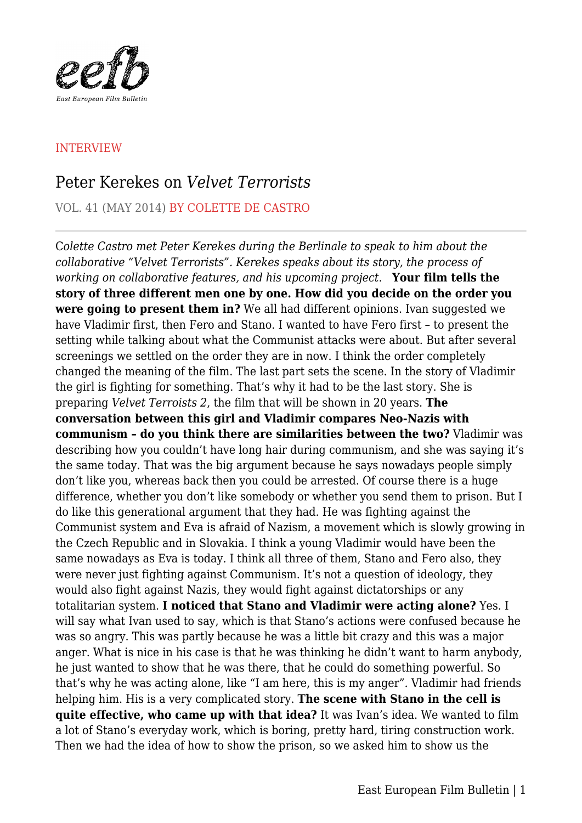

## INTERVIEW

## Peter Kerekes on *Velvet Terrorists*

VOL. 41 (MAY 2014) BY COLETTE DE CASTRO

C*olette Castro met Peter Kerekes during the Berlinale to speak to him about the collaborative "Velvet Terrorists". Kerekes speaks about its story, the process of working on collaborative features, and his upcoming project.* **Your film tells the story of three different men one by one. How did you decide on the order you were going to present them in?** We all had different opinions. Ivan suggested we have Vladimir first, then Fero and Stano. I wanted to have Fero first – to present the setting while talking about what the Communist attacks were about. But after several screenings we settled on the order they are in now. I think the order completely changed the meaning of the film. The last part sets the scene. In the story of Vladimir the girl is fighting for something. That's why it had to be the last story. She is preparing *Velvet Terroists 2*, the film that will be shown in 20 years. **The conversation between this girl and Vladimir compares Neo-Nazis with communism – do you think there are similarities between the two?** Vladimir was describing how you couldn't have long hair during communism, and she was saying it's the same today. That was the big argument because he says nowadays people simply don't like you, whereas back then you could be arrested. Of course there is a huge difference, whether you don't like somebody or whether you send them to prison. But I do like this generational argument that they had. He was fighting against the Communist system and Eva is afraid of Nazism, a movement which is slowly growing in the Czech Republic and in Slovakia. I think a young Vladimir would have been the same nowadays as Eva is today. I think all three of them, Stano and Fero also, they were never just fighting against Communism. It's not a question of ideology, they would also fight against Nazis, they would fight against dictatorships or any totalitarian system. **I noticed that Stano and Vladimir were acting alone?** Yes. I will say what Ivan used to say, which is that Stano's actions were confused because he was so angry. This was partly because he was a little bit crazy and this was a major anger. What is nice in his case is that he was thinking he didn't want to harm anybody, he just wanted to show that he was there, that he could do something powerful. So that's why he was acting alone, like "I am here, this is my anger". Vladimir had friends helping him. His is a very complicated story. **The scene with Stano in the cell is quite effective, who came up with that idea?** It was Ivan's idea. We wanted to film a lot of Stano's everyday work, which is boring, pretty hard, tiring construction work. Then we had the idea of how to show the prison, so we asked him to show us the